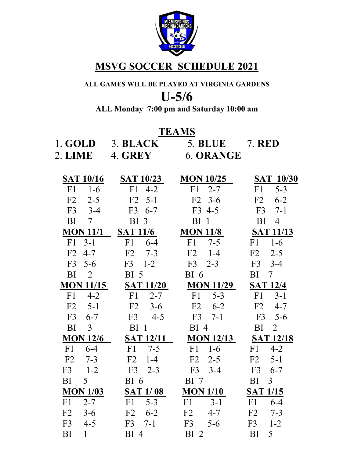

### **MSVG SOCCER SCHEDULE 2021**

# **ALL GAMES WILL BE PLAYED AT VIRGINIA GARDENS**

# **U-5/6**

### **ALL Monday 7:00 pm and Saturday 10:00 am**

#### **TEAMS**

| 1. GOLD                   | 3. BLACK                 | 5. BLUE 7. RED   |                            |
|---------------------------|--------------------------|------------------|----------------------------|
| 2. LIME                   | 4. GREY                  | 6. ORANGE        |                            |
|                           |                          |                  |                            |
| <b>SAT 10/16</b>          | SAT 10/23                | <b>MON 10/25</b> | <b>SAT 10/30</b>           |
| $F1 \t1-6$                | $F1 \t 4-2$              | $F1 \quad 2-7$   | $5 - 3$<br>F1              |
| $F2 \t2-5$                | $F2 \t 5-1$              | $F2 \t3-6$       | F2<br>$6 - 2$              |
| $F3 \t3-4$                | F3 6-7                   | F3 4-5           | $F3 \t 7-1$                |
| BI —<br>$7\overline{ }$   | <b>BI</b> 3              | BI <sub>1</sub>  | BI 4                       |
|                           | <b>MON 11/1 SAT 11/6</b> | <b>MON 11/8</b>  | <b>SAT 11/13</b>           |
| $F1 \quad 3-1$            | F1 6-4                   | $F1 \t 7-5$      | $F1 \t1-6$                 |
| $F2 \t 4-7$               | $F2 \t 7-3$              | $F2 \t1-4$       | $F2 \t2-5$                 |
| $F3 \t5-6$                | $F3 \t1-2$               | $F3 \t2-3$       | $F3 \quad 3-4$             |
| BI<br>$\overline{2}$      | BI <sub>5</sub>          | BI <sub>6</sub>  | $BI$ 7                     |
| <b>MON 11/15</b>          | <b>SAT 11/20</b>         | <b>MON 11/29</b> | <b>SAT 12/4</b>            |
| F1<br>$4 - 2$             | <b>F1</b><br>$2 - 7$     | F1<br>$5 - 3$    | $F1 \quad 3-1$             |
| $F2 \t 5-1$               | $F2 \t3-6$               | $F2 \t 6-2$      | F2<br>$4 - 7$              |
| F3<br>$6 - 7$             | $F3 \t 4-5$              | $F3 \t 7-1$      | $F3 \t 5-6$                |
| BI<br>$\mathbf{3}$        | BI <sub>1</sub>          | BI <sub>4</sub>  | BI<br>2                    |
| <b>MON 12/6</b>           | <b>SAT 12/11</b>         |                  | <b>MON 12/13 SAT 12/18</b> |
| $F1 \quad 6-4$            | $F1 \t 7-5$              | $F1 \t1-6$       | $F1 \t 4-2$                |
| $F2 \t 7-3$               | $F2 \t1-4$               | $F2 \t2-5$       | $F2 \quad 5-1$             |
| $F3 \t1-2$                | $F3 \t2-3$               | $F3 \quad 3-4$   | F3 6-7                     |
| $BI = 5$                  | BI <sub>6</sub>          | <b>BI</b> 7      | BI <sub>3</sub>            |
| <b>MON 1/03</b>           | <b>SAT 1/08</b>          | <b>MON 1/10</b>  | <b>SAT 1/15</b>            |
| $2 - 7$<br>F1             | $F1 \quad 5-3$           | F1 3-1           | $F1 \t 6-4$                |
| F2<br>$3-6$               | $F2 \t 6-2$              | $F2 \t 4-7$      | $F2 \t 7-3$                |
| F <sub>3</sub><br>$4 - 5$ | $F3 \t 7-1$              | $F3 \t 5-6$      | $F3 \t1-2$                 |
| $\mathbf{1}$<br>BI        | $BI$ 4                   | BI <sub>2</sub>  | BI<br>5 <sup>5</sup>       |